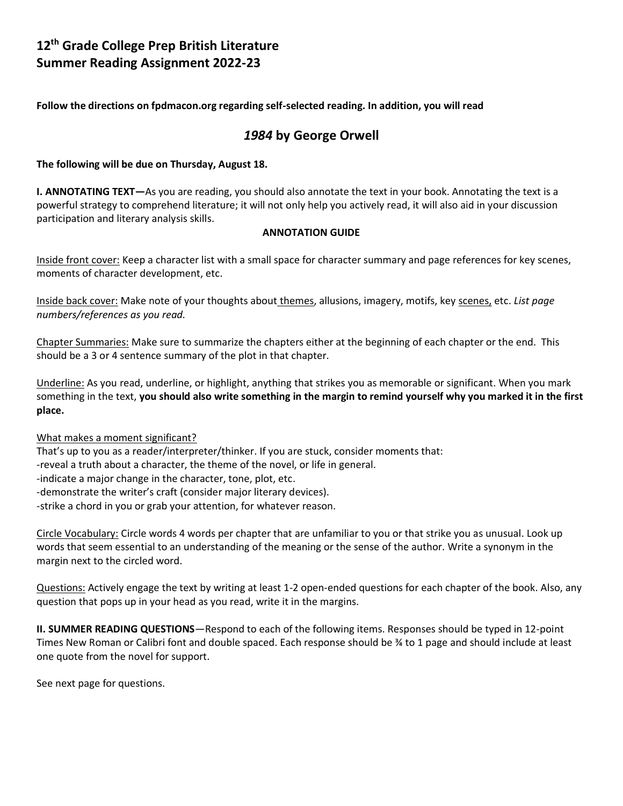# **12th Grade College Prep British Literature Summer Reading Assignment 2022-23**

**Follow the directions on fpdmacon.org regarding self-selected reading. In addition, you will read** 

## *1984* **by George Orwell**

### **The following will be due on Thursday, August 18.**

**I. ANNOTATING TEXT—**As you are reading, you should also annotate the text in your book. Annotating the text is a powerful strategy to comprehend literature; it will not only help you actively read, it will also aid in your discussion participation and literary analysis skills.

### **ANNOTATION GUIDE**

Inside front cover: Keep a character list with a small space for character summary and page references for key scenes, moments of character development, etc.

Inside back cover: Make note of your thoughts about themes, allusions, imagery, motifs, key scenes, etc. *List page numbers/references as you read.*

Chapter Summaries: Make sure to summarize the chapters either at the beginning of each chapter or the end. This should be a 3 or 4 sentence summary of the plot in that chapter.

Underline: As you read, underline, or highlight, anything that strikes you as memorable or significant. When you mark something in the text, **you should also write something in the margin to remind yourself why you marked it in the first place.** 

#### What makes a moment significant?

That's up to you as a reader/interpreter/thinker. If you are stuck, consider moments that:

-reveal a truth about a character, the theme of the novel, or life in general.

- -indicate a major change in the character, tone, plot, etc.
- -demonstrate the writer's craft (consider major literary devices).
- -strike a chord in you or grab your attention, for whatever reason.

Circle Vocabulary: Circle words 4 words per chapter that are unfamiliar to you or that strike you as unusual. Look up words that seem essential to an understanding of the meaning or the sense of the author. Write a synonym in the margin next to the circled word.

Questions: Actively engage the text by writing at least 1-2 open-ended questions for each chapter of the book. Also, any question that pops up in your head as you read, write it in the margins.

**II. SUMMER READING QUESTIONS**—Respond to each of the following items. Responses should be typed in 12-point Times New Roman or Calibri font and double spaced. Each response should be ¾ to 1 page and should include at least one quote from the novel for support.

See next page for questions.